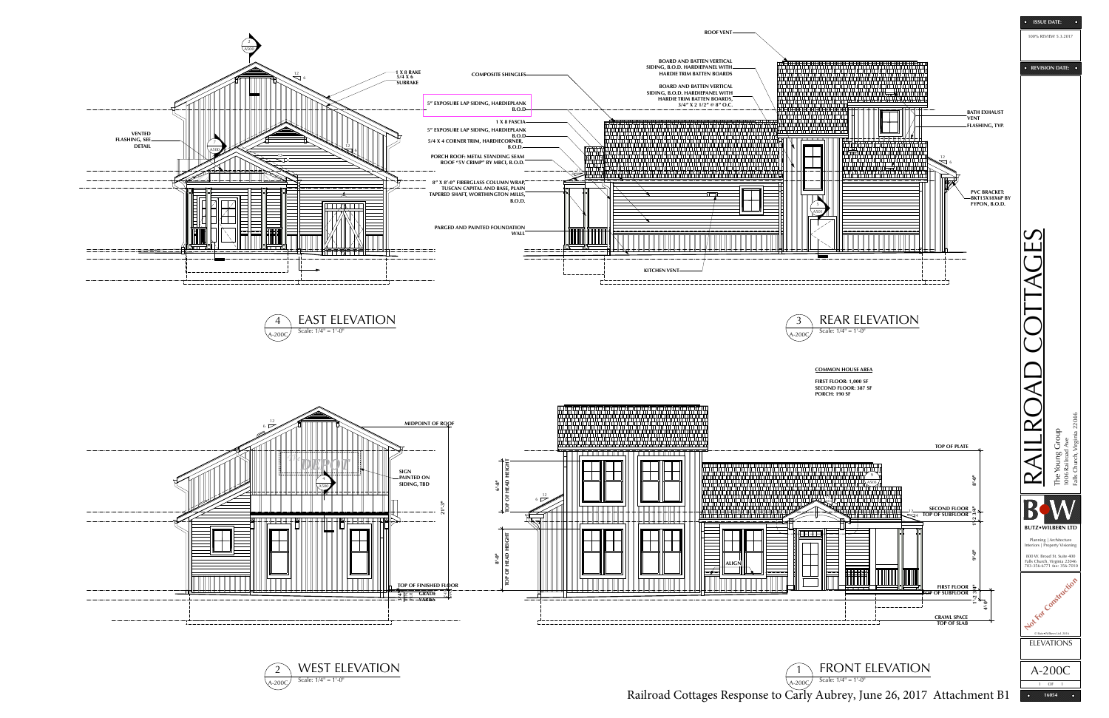Scale: 1/4" = 1'-0"

Railroad Cottages Response to Carly Aubrey, June 26, 2017 Attachment B1 **10054** 





1 OF 1

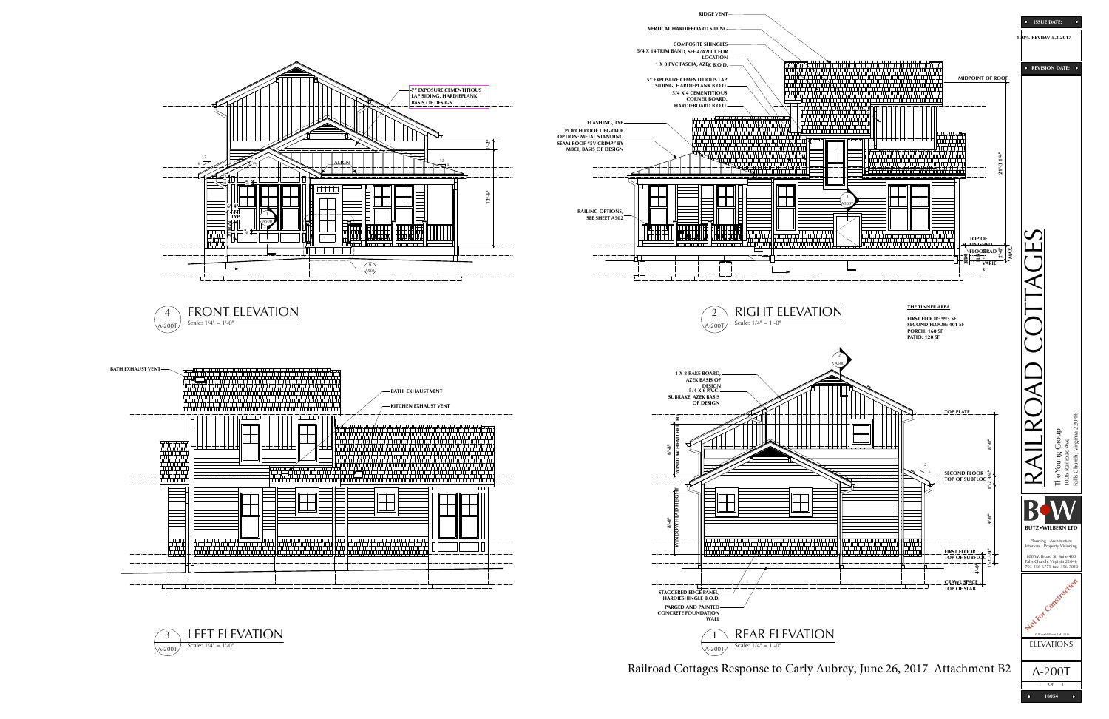**RIDGE VENT**